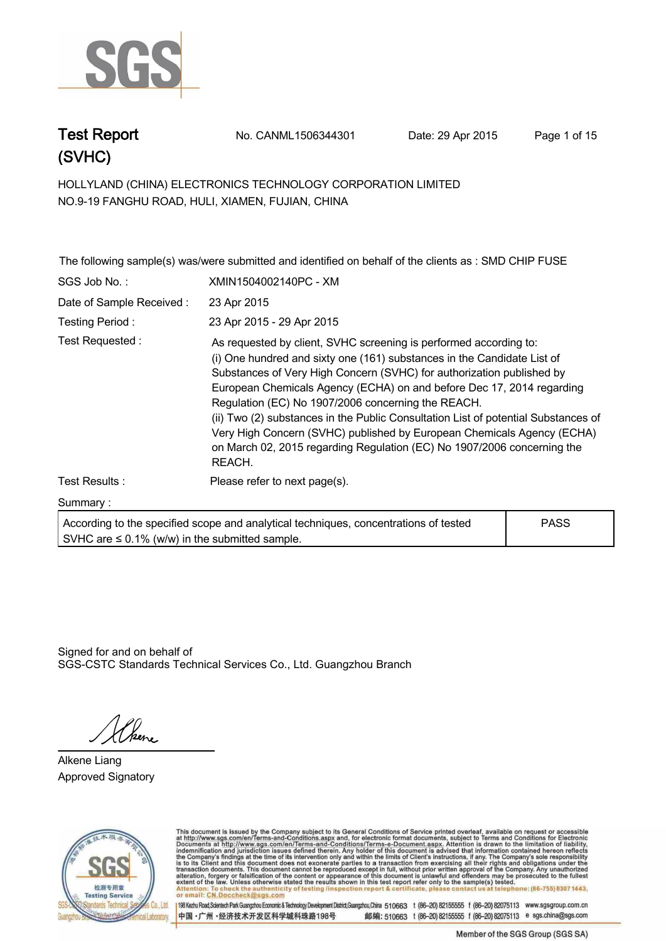

**Test Report. No. CANML1506344301 Date: 29 Apr 2015. Page 1 of 15.**

**HOLLYLAND (CHINA) ELECTRONICS TECHNOLOGY CORPORATION LIMITED . NO.9-19 FANGHU ROAD, HULI, XIAMEN, FUJIAN, CHINA**

|                          | The following sample(s) was/were submitted and identified on behalf of the clients as : SMD CHIP FUSE                                                                                                                                                                                                                                                                                                                                                                                                                                                                                                     |             |
|--------------------------|-----------------------------------------------------------------------------------------------------------------------------------------------------------------------------------------------------------------------------------------------------------------------------------------------------------------------------------------------------------------------------------------------------------------------------------------------------------------------------------------------------------------------------------------------------------------------------------------------------------|-------------|
| SGS Job No.:             | XMIN1504002140PC - XM                                                                                                                                                                                                                                                                                                                                                                                                                                                                                                                                                                                     |             |
| Date of Sample Received: | 23 Apr 2015                                                                                                                                                                                                                                                                                                                                                                                                                                                                                                                                                                                               |             |
| Testing Period:          | 23 Apr 2015 - 29 Apr 2015                                                                                                                                                                                                                                                                                                                                                                                                                                                                                                                                                                                 |             |
| Test Requested :         | As requested by client, SVHC screening is performed according to:<br>(i) One hundred and sixty one (161) substances in the Candidate List of<br>Substances of Very High Concern (SVHC) for authorization published by<br>European Chemicals Agency (ECHA) on and before Dec 17, 2014 regarding<br>Regulation (EC) No 1907/2006 concerning the REACH.<br>(ii) Two (2) substances in the Public Consultation List of potential Substances of<br>Very High Concern (SVHC) published by European Chemicals Agency (ECHA)<br>on March 02, 2015 regarding Regulation (EC) No 1907/2006 concerning the<br>REACH. |             |
| Test Results:            | Please refer to next page(s).                                                                                                                                                                                                                                                                                                                                                                                                                                                                                                                                                                             |             |
| Summary:                 |                                                                                                                                                                                                                                                                                                                                                                                                                                                                                                                                                                                                           |             |
|                          | According to the specified scope and analytical techniques, concentrations of tested                                                                                                                                                                                                                                                                                                                                                                                                                                                                                                                      | <b>PASS</b> |

**SVHC are ≤ 0.1% (w/w) in the submitted sample.**

Signed for and on behalf of SGS-CSTC Standards Technical Services Co., Ltd. Guangzhou Branch.

*Khene* 

**Alkene Liang. Approved Signatory . . .**



This document is issued by the Company subject to its General Conditions of Service printed overleaf, available on request or accessible at http://www.sgs.com/en/Terms-and-Conditions.aspx and, for electronic format documen telephone: (86-755) 8307 1443 Attenti eck the authenticity of testing /inspection report & certificate, pl contact us or email: CN.Doccheck@sos.c

198 Kezhu Road, Scientech Park Guangzhou Economic & Technology Development District, Guangzhou, China 510663 t (86-20) 82155555 f (86-20) 82075113 www.sgsgroup.com.cn 中国·广州·经济技术开发区科学城科珠路198号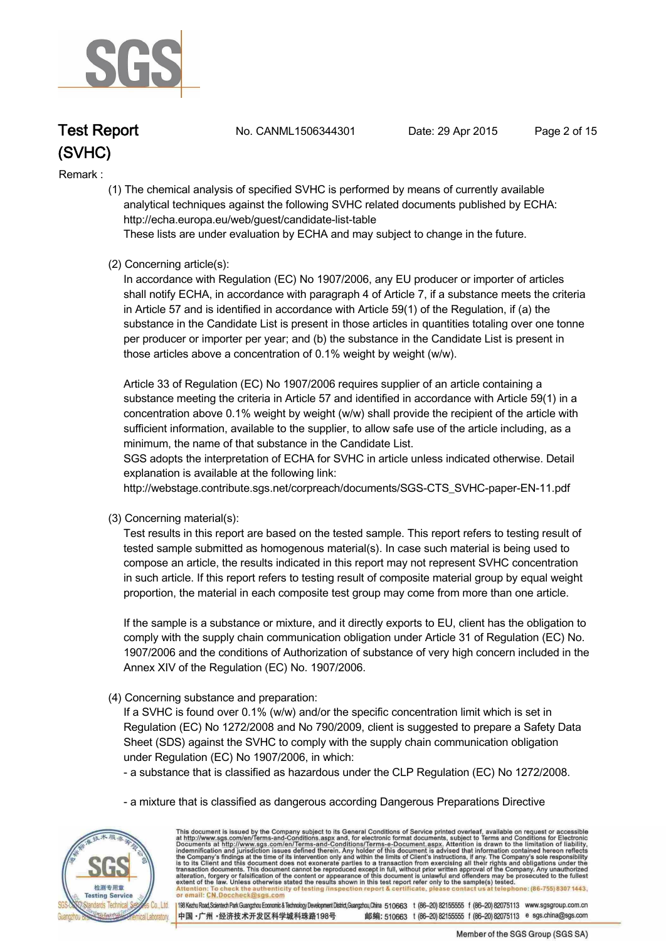

**Test Report. No. CANML1506344301 Date: 29 Apr 2015. Page 2 of 15.**

#### **Remark :.**

 **(1) The chemical analysis of specified SVHC is performed by means of currently available analytical techniques against the following SVHC related documents published by ECHA: http://echa.europa.eu/web/guest/candidate-list-table** 

 **These lists are under evaluation by ECHA and may subject to change in the future.** 

#### **(2) Concerning article(s):**

 **In accordance with Regulation (EC) No 1907/2006, any EU producer or importer of articles shall notify ECHA, in accordance with paragraph 4 of Article 7, if a substance meets the criteria in Article 57 and is identified in accordance with Article 59(1) of the Regulation, if (a) the substance in the Candidate List is present in those articles in quantities totaling over one tonne per producer or importer per year; and (b) the substance in the Candidate List is present in those articles above a concentration of 0.1% weight by weight (w/w).** 

 **Article 33 of Regulation (EC) No 1907/2006 requires supplier of an article containing a substance meeting the criteria in Article 57 and identified in accordance with Article 59(1) in a concentration above 0.1% weight by weight (w/w) shall provide the recipient of the article with sufficient information, available to the supplier, to allow safe use of the article including, as a minimum, the name of that substance in the Candidate List.** 

 **SGS adopts the interpretation of ECHA for SVHC in article unless indicated otherwise. Detail explanation is available at the following link:**

 **http://webstage.contribute.sgs.net/corpreach/documents/SGS-CTS\_SVHC-paper-EN-11.pdf** 

 **(3) Concerning material(s):** 

 **Test results in this report are based on the tested sample. This report refers to testing result of tested sample submitted as homogenous material(s). In case such material is being used to compose an article, the results indicated in this report may not represent SVHC concentration in such article. If this report refers to testing result of composite material group by equal weight proportion, the material in each composite test group may come from more than one article.** 

 **If the sample is a substance or mixture, and it directly exports to EU, client has the obligation to comply with the supply chain communication obligation under Article 31 of Regulation (EC) No. 1907/2006 and the conditions of Authorization of substance of very high concern included in the Annex XIV of the Regulation (EC) No. 1907/2006.** 

 **(4) Concerning substance and preparation:** 

 **If a SVHC is found over 0.1% (w/w) and/or the specific concentration limit which is set in Regulation (EC) No 1272/2008 and No 790/2009, client is suggested to prepare a Safety Data Sheet (SDS) against the SVHC to comply with the supply chain communication obligation under Regulation (EC) No 1907/2006, in which:** 

 **- a substance that is classified as hazardous under the CLP Regulation (EC) No 1272/2008.** 

 **- a mixture that is classified as dangerous according Dangerous Preparations Directive** 



This document is issued by the Company subject to its General Conditions of Service printed overleaf, available on request or accessible at http://www.sgs.com/en/Terms-and-Conditions.aspx and, for electronic format docume ck the authenticity of testing /inspection report & certificate, pl or email: CN Doccheck@

198 Kezhu Road,Scientech Park Guangzhou Economic & Technology Development District,Guangzhou,China 510663 t (86-20) 82155555 f (86-20) 82075113 www.sgsgroup.com.cn 中国·广州·经济技术开发区科学城科珠路198号 邮编: 510663 t (86-20) 82155555 f (86-20) 82075113 e sgs.china@sgs.com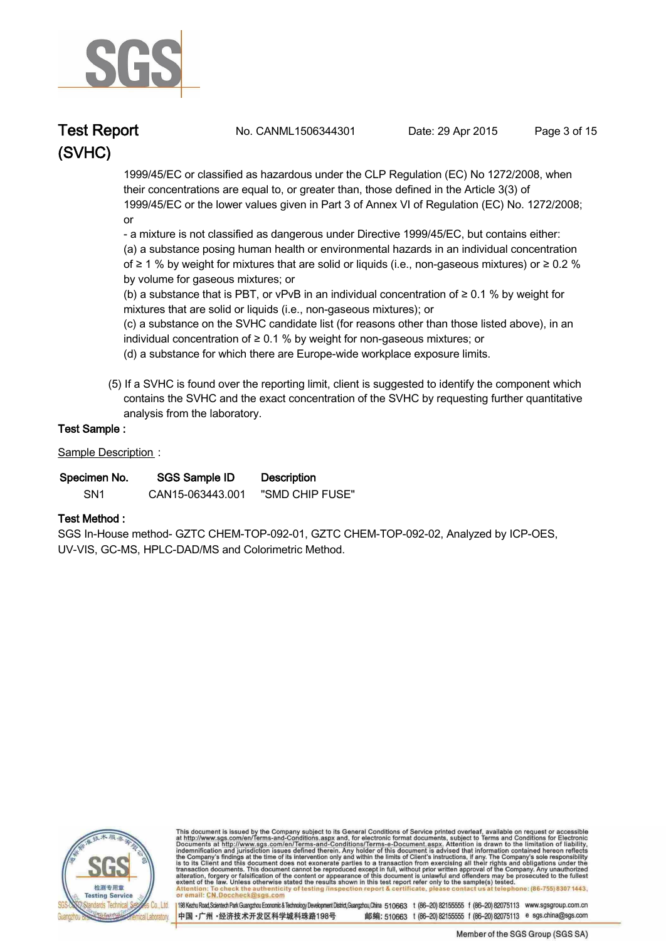

**Test Report. No. CANML1506344301 Date: 29 Apr 2015. Page 3 of 15.**

 **1999/45/EC or classified as hazardous under the CLP Regulation (EC) No 1272/2008, when their concentrations are equal to, or greater than, those defined in the Article 3(3) of 1999/45/EC or the lower values given in Part 3 of Annex VI of Regulation (EC) No. 1272/2008; or** 

 **- a mixture is not classified as dangerous under Directive 1999/45/EC, but contains either:** 

 **(a) a substance posing human health or environmental hazards in an individual concentration of ≥ 1 % by weight for mixtures that are solid or liquids (i.e., non-gaseous mixtures) or ≥ 0.2 % by volume for gaseous mixtures; or** 

 **(b) a substance that is PBT, or vPvB in an individual concentration of ≥ 0.1 % by weight for mixtures that are solid or liquids (i.e., non-gaseous mixtures); or** 

 **(c) a substance on the SVHC candidate list (for reasons other than those listed above), in an individual concentration of ≥ 0.1 % by weight for non-gaseous mixtures; or** 

 **(d) a substance for which there are Europe-wide workplace exposure limits.** 

 **(5) If a SVHC is found over the reporting limit, client is suggested to identify the component which contains the SVHC and the exact concentration of the SVHC by requesting further quantitative analysis from the laboratory.** 

#### **Test Sample :.**

**Sample Description :.**

| Specimen No.    | SGS Sample ID    | <b>Description</b> |  |
|-----------------|------------------|--------------------|--|
| SN <sub>1</sub> | CAN15-063443.001 | "SMD CHIP FUSE"    |  |

#### **Test Method :.**

**SGS In-House method- GZTC CHEM-TOP-092-01, GZTC CHEM-TOP-092-02, Analyzed by ICP-OES, UV-VIS, GC-MS, HPLC-DAD/MS and Colorimetric Method. .**



This document is issued by the Company subject to its General Conditions of Service printed overleaf, available on request or accessible at http://www.sgs.com/en/Terms-and-Conditions.aspx and, for electronic format docume ck the authenticity of testing /inspection report & certificate, pl or email: CN Doccheck@

198 Kezhu Road,Scientech Park Guangzhou Economic & Technology Development District,Guangzhou,China 510663 t (86-20) 82155555 f (86-20) 82075113 www.sgsgroup.com.cn 中国·广州·经济技术开发区科学城科珠路198号 邮编: 510663 t (86-20) 82155555 f (86-20) 82075113 e sgs.china@sgs.com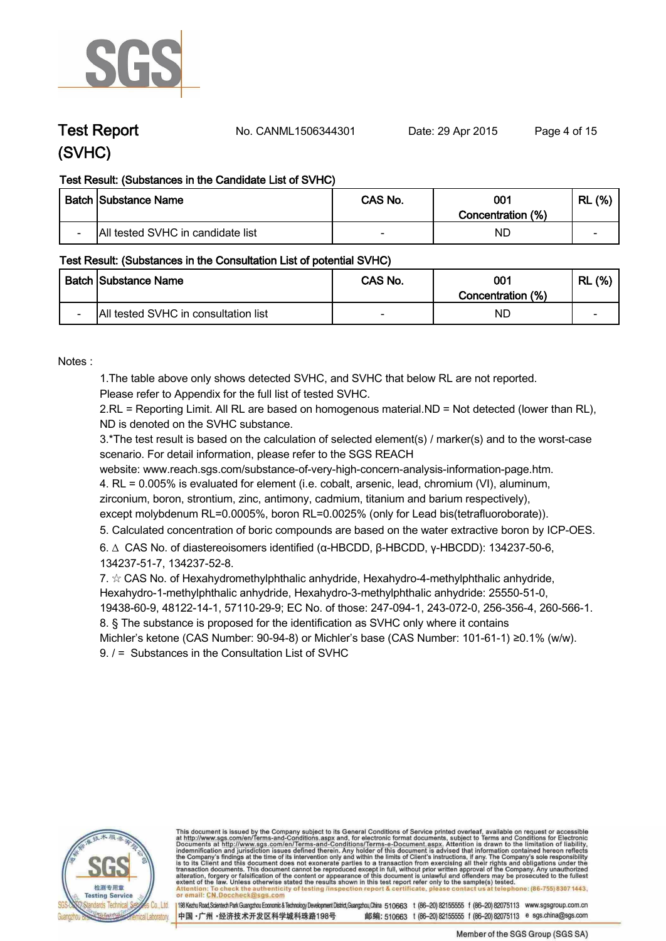

**Test Report No. CANML1506344301** Date: 29 Apr 2015 Page 4 of 15

#### **Test Result: (Substances in the Candidate List of SVHC)**

|                          | <b>Batch Substance Name</b>       | CAS No. | 001<br>Concentration (%) | (%)<br>RL                |
|--------------------------|-----------------------------------|---------|--------------------------|--------------------------|
| $\overline{\phantom{0}}$ | All tested SVHC in candidate list |         | ND                       | $\overline{\phantom{0}}$ |

#### **Test Result: (Substances in the Consultation List of potential SVHC)**

|                          | <b>Batch Substance Name</b>          | CAS No. | 001<br>Concentration (%) | (%)<br>RL                |
|--------------------------|--------------------------------------|---------|--------------------------|--------------------------|
| $\overline{\phantom{0}}$ | All tested SVHC in consultation list | $\sim$  | NC                       | $\overline{\phantom{a}}$ |

**Notes :.**

**1.The table above only shows detected SVHC, and SVHC that below RL are not reported.** 

**Please refer to Appendix for the full list of tested SVHC.**

**2.RL = Reporting Limit. All RL are based on homogenous material.ND = Not detected (lower than RL), ND is denoted on the SVHC substance.**

**3.\*The test result is based on the calculation of selected element(s) / marker(s) and to the worst-case scenario. For detail information, please refer to the SGS REACH** 

**website: www.reach.sgs.com/substance-of-very-high-concern-analysis-information-page.htm.**

**4. RL = 0.005% is evaluated for element (i.e. cobalt, arsenic, lead, chromium (VI), aluminum, zirconium, boron, strontium, zinc, antimony, cadmium, titanium and barium respectively),** 

**except molybdenum RL=0.0005%, boron RL=0.0025% (only for Lead bis(tetrafluoroborate)). .**

**5. Calculated concentration of boric compounds are based on the water extractive boron by ICP-OES. .**

**6. ∆ CAS No. of diastereoisomers identified (α-HBCDD, β-HBCDD, γ-HBCDD): 134237-50-6, 134237-51-7, 134237-52-8.** 

**7. ☆ CAS No. of Hexahydromethylphthalic anhydride, Hexahydro-4-methylphthalic anhydride, Hexahydro-1-methylphthalic anhydride, Hexahydro-3-methylphthalic anhydride: 25550-51-0,** 

**19438-60-9, 48122-14-1, 57110-29-9; EC No. of those: 247-094-1, 243-072-0, 256-356-4, 260-566-1.**

**8. § The substance is proposed for the identification as SVHC only where it contains** 

**Michler's ketone (CAS Number: 90-94-8) or Michler's base (CAS Number: 101-61-1) ≥0.1% (w/w).**

**9. / = Substances in the Consultation List of SVHC .**



This document is issued by the Company subject to its General Conditions of Service printed overleaf, available on request or accessible at http://www.sgs.com/en/Terms-and-Conditions.aspx and, for electronic format docume ck the authenticity of testing /inspection report & certificate, pl

198 Kezhu Road,Scientech Park Guangzhou Economic & Technology Development District,Guangzhou,China 510663 t (86-20) 82155555 f (86-20) 82075113 www.sgsgroup.com.cn 中国·广州·经济技术开发区科学城科珠路198号 邮编: 510663 t (86-20) 82155555 f (86-20) 82075113 e sgs.china@sgs.com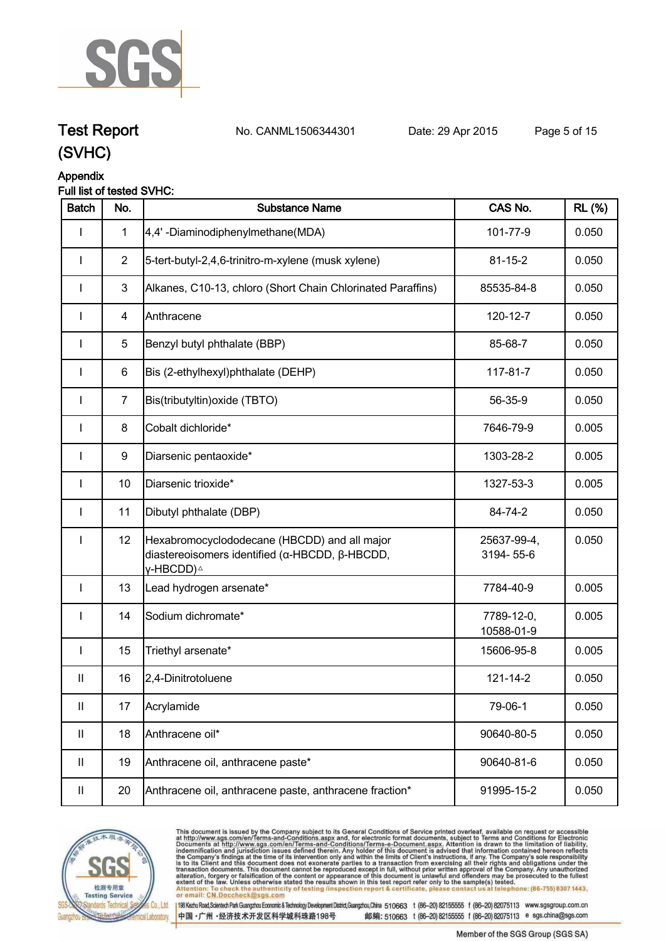

**Test Report. No. CANML1506344301 Date: 29 Apr 2015. Page 5 of 15.**

### **Appendix**

#### **Full list of tested SVHC:**

| <b>Batch</b>  | No.            | <b>Substance Name</b>                                                                                                                   | CAS No.                  | <b>RL</b> (%) |
|---------------|----------------|-----------------------------------------------------------------------------------------------------------------------------------------|--------------------------|---------------|
|               | $\mathbf{1}$   | 4,4' -Diaminodiphenylmethane(MDA)                                                                                                       | 101-77-9                 | 0.050         |
|               | $\overline{2}$ | 5-tert-butyl-2,4,6-trinitro-m-xylene (musk xylene)                                                                                      | $81 - 15 - 2$            | 0.050         |
|               | $\mathfrak{S}$ | Alkanes, C10-13, chloro (Short Chain Chlorinated Paraffins)                                                                             | 85535-84-8               | 0.050         |
| <b>I</b>      | 4              | Anthracene                                                                                                                              | 120-12-7                 | 0.050         |
| ı             | $\sqrt{5}$     | Benzyl butyl phthalate (BBP)                                                                                                            | 85-68-7                  | 0.050         |
| I             | 6              | Bis (2-ethylhexyl)phthalate (DEHP)                                                                                                      | 117-81-7                 | 0.050         |
| $\mathbf{I}$  | $\overline{7}$ | Bis(tributyltin) oxide (TBTO)                                                                                                           | 56-35-9                  | 0.050         |
| I             | 8              | Cobalt dichloride*                                                                                                                      | 7646-79-9                | 0.005         |
| I             | 9              | Diarsenic pentaoxide*                                                                                                                   | 1303-28-2                | 0.005         |
| I             | 10             | Diarsenic trioxide*                                                                                                                     | 1327-53-3                | 0.005         |
| I             | 11             | Dibutyl phthalate (DBP)                                                                                                                 | 84-74-2                  | 0.050         |
|               | 12             | Hexabromocyclododecane (HBCDD) and all major<br>diastereoisomers identified ( $\alpha$ -HBCDD, $\beta$ -HBCDD,<br>γ-HBCDD) <sup>∆</sup> | 25637-99-4,<br>3194-55-6 | 0.050         |
| $\mathbf{I}$  | 13             | Lead hydrogen arsenate*                                                                                                                 | 7784-40-9                | 0.005         |
| I             | 14             | Sodium dichromate*                                                                                                                      | 7789-12-0,<br>10588-01-9 | 0.005         |
| <b>I</b>      | 15             | Triethyl arsenate*                                                                                                                      | 15606-95-8               | 0.005         |
| $\mathsf{I}$  | 16             | 2,4-Dinitrotoluene                                                                                                                      | 121-14-2                 | 0.050         |
| $\sf II$      | 17             | Acrylamide                                                                                                                              | 79-06-1                  | 0.050         |
| $\mathbf{II}$ | 18             | Anthracene oil*                                                                                                                         | 90640-80-5               | 0.050         |
| $\mathbf{II}$ | 19             | Anthracene oil, anthracene paste*                                                                                                       | 90640-81-6               | 0.050         |
| Ш             | 20             | Anthracene oil, anthracene paste, anthracene fraction*                                                                                  | 91995-15-2               | 0.050         |



This document is issued by the Company subject to its General Conditions of Service printed overleaf, available on request or accessible at http://www.sgs.com/en/Terms-and-Conditions.aspx and, for electronic format docume (s) tested.<br>at telephone: (86-755) 8307 1443, Attention: To check the authent<br>or email: CN.Doccheck@sgs.c eck the authenticity of testing /inspection report & certificate, ple contact us

198 Kezhu Road, Scientech Park Guangzhou Economic & Technology Development District, Guangzhou, China 510663 t (86-20) 82155555 f (86-20) 82075113 www.sgsgroup.com.cn 中国·广州·经济技术开发区科学城科珠路198号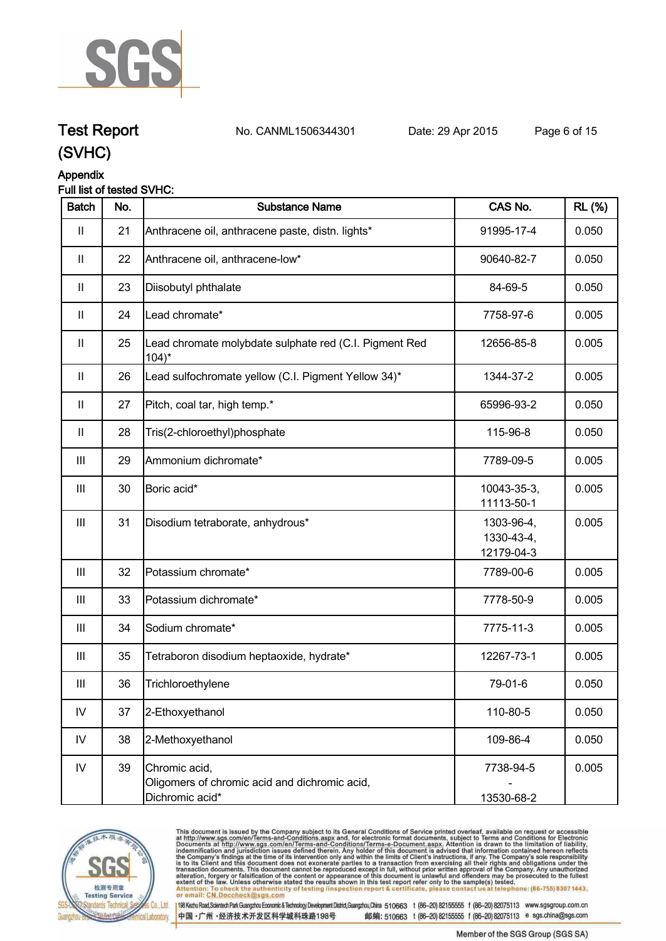

## **Test Report. No. CANML1506344301 Date: 29 Apr 2015. Page 6 of 15.**

### **(SVHC)**

#### **Appendix**

#### **Full list of tested SVHC:**

| <b>Batch</b>                       | No. | <b>Substance Name</b>                                                             | CAS No.                                | <b>RL</b> (%) |
|------------------------------------|-----|-----------------------------------------------------------------------------------|----------------------------------------|---------------|
| $\mathbf{II}$                      | 21  | Anthracene oil, anthracene paste, distn. lights*                                  | 91995-17-4                             | 0.050         |
| $\mathbf{II}$                      | 22  | Anthracene oil, anthracene-low*                                                   | 90640-82-7                             | 0.050         |
| $\mathbf{II}$                      | 23  | Diisobutyl phthalate                                                              | 84-69-5                                | 0.050         |
| $\mathbf{II}$                      | 24  | Lead chromate*                                                                    | 7758-97-6                              | 0.005         |
| $\mathbf{II}$                      | 25  | Lead chromate molybdate sulphate red (C.I. Pigment Red<br>$104$ <sup>*</sup>      | 12656-85-8                             | 0.005         |
| $\mathbf{II}$                      | 26  | Lead sulfochromate yellow (C.I. Pigment Yellow 34)*                               | 1344-37-2                              | 0.005         |
| $\mathbf{II}$                      | 27  | Pitch, coal tar, high temp.*                                                      | 65996-93-2                             | 0.050         |
| $\mathbf{II}$                      | 28  | Tris(2-chloroethyl)phosphate                                                      | 115-96-8                               | 0.050         |
| Ш                                  | 29  | Ammonium dichromate*                                                              | 7789-09-5                              | 0.005         |
| $\mathbf{III}$                     | 30  | Boric acid*                                                                       | 10043-35-3,<br>11113-50-1              | 0.005         |
| $\ensuremath{\mathsf{III}}\xspace$ | 31  | Disodium tetraborate, anhydrous*                                                  | 1303-96-4,<br>1330-43-4,<br>12179-04-3 | 0.005         |
| $\  \ $                            | 32  | Potassium chromate*                                                               | 7789-00-6                              | 0.005         |
| $\mathop{\mathsf{III}}\nolimits$   | 33  | Potassium dichromate*                                                             | 7778-50-9                              | 0.005         |
| Ш                                  | 34  | Sodium chromate*                                                                  | 7775-11-3                              | 0.005         |
| $\mathop{\rm III}$                 | 35  | Tetraboron disodium heptaoxide, hydrate*                                          | 12267-73-1                             | 0.005         |
| $\mathbf{III}$                     | 36  | Trichloroethylene                                                                 | 79-01-6                                | 0.050         |
| ${\sf IV}$                         | 37  | 2-Ethoxyethanol                                                                   | 110-80-5                               | 0.050         |
| IV                                 | 38  | 2-Methoxyethanol                                                                  | 109-86-4                               | 0.050         |
| ${\sf IV}$                         | 39  | Chromic acid,<br>Oligomers of chromic acid and dichromic acid,<br>Dichromic acid* | 7738-94-5<br>13530-68-2                | 0.005         |



This document is issued by the Company subject to its General Conditions of Service printed overleaf, available on request or accessible at http://www.sgs.com/en/Terms-and-Conditions.aspx and, for electronic format documen . at telephone: (86-755) 8307 1443, Attention: To check the authent<br>or email: CN.Doccheck@sgs.c eck the authenticity of testing /inspection report & certificate, ple contact us

中国·广州·经济技术开发区科学城科珠路198号

198 Kezhu Road, Scientech Park Guangzhou Economic & Technology Development District, Guangzhou, China 510663 t (86-20) 82155555 f (86-20) 82075113 www.sgsgroup.com.cn 邮编: 510663 t (86-20) 82155555 f (86-20) 82075113 e sgs.china@sgs.com

Member of the SGS Group (SGS SA)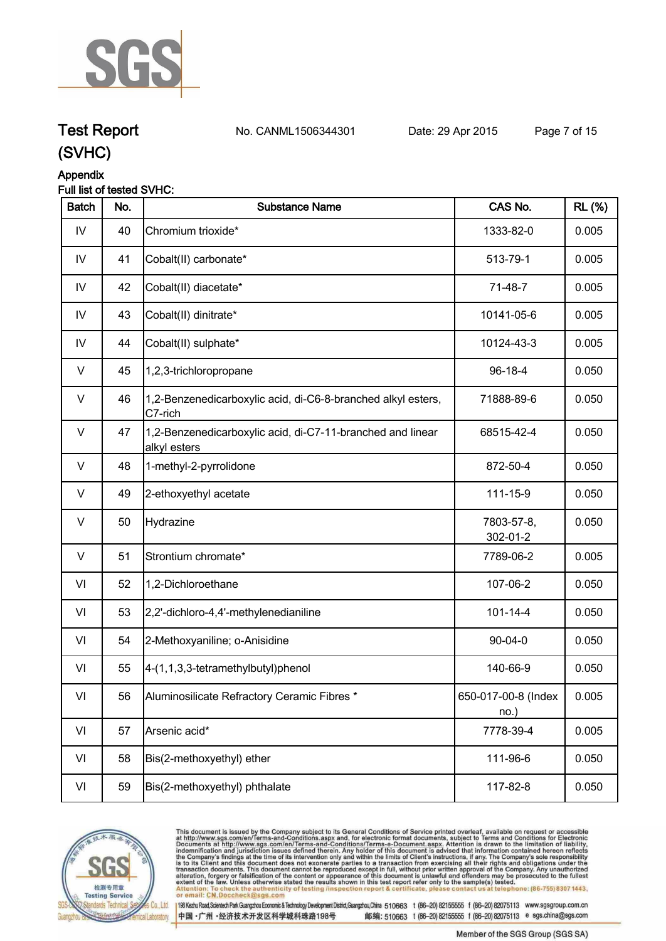

## **Test Report. No. CANML1506344301 Date: 29 Apr 2015. Page 7 of 15.**

### **(SVHC)**

#### **Appendix**

#### **Full list of tested SVHC:**

| <b>Batch</b>  | No. | <b>Substance Name</b>                                                      | CAS No.                     | <b>RL</b> (%) |
|---------------|-----|----------------------------------------------------------------------------|-----------------------------|---------------|
| IV            | 40  | Chromium trioxide*                                                         | 1333-82-0                   | 0.005         |
| $\mathsf{IV}$ | 41  | Cobalt(II) carbonate*                                                      | 513-79-1                    | 0.005         |
| IV            | 42  | Cobalt(II) diacetate*                                                      | 71-48-7                     | 0.005         |
| IV            | 43  | Cobalt(II) dinitrate*                                                      | 10141-05-6                  | 0.005         |
| $\mathsf{IV}$ | 44  | Cobalt(II) sulphate*                                                       | 10124-43-3                  | 0.005         |
| $\vee$        | 45  | 1,2,3-trichloropropane                                                     | 96-18-4                     | 0.050         |
| $\vee$        | 46  | 1,2-Benzenedicarboxylic acid, di-C6-8-branched alkyl esters,<br>C7-rich    | 71888-89-6                  | 0.050         |
| $\vee$        | 47  | 1,2-Benzenedicarboxylic acid, di-C7-11-branched and linear<br>alkyl esters | 68515-42-4                  | 0.050         |
| $\vee$        | 48  | 1-methyl-2-pyrrolidone                                                     | 872-50-4                    | 0.050         |
| $\vee$        | 49  | 2-ethoxyethyl acetate                                                      | 111-15-9                    | 0.050         |
| $\vee$        | 50  | Hydrazine                                                                  | 7803-57-8,<br>302-01-2      | 0.050         |
| $\vee$        | 51  | Strontium chromate*                                                        | 7789-06-2                   | 0.005         |
| VI            | 52  | 1,2-Dichloroethane                                                         | 107-06-2                    | 0.050         |
| VI            | 53  | 2,2'-dichloro-4,4'-methylenedianiline                                      | $101 - 14 - 4$              | 0.050         |
| VI            | 54  | 2-Methoxyaniline; o-Anisidine                                              | 90-04-0                     | 0.050         |
| VI            | 55  | 4-(1,1,3,3-tetramethylbutyl)phenol                                         | 140-66-9                    | 0.050         |
| VI            | 56  | Aluminosilicate Refractory Ceramic Fibres *                                | 650-017-00-8 (Index<br>no.) | 0.005         |
| VI            | 57  | Arsenic acid*                                                              | 7778-39-4                   | 0.005         |
| VI            | 58  | Bis(2-methoxyethyl) ether                                                  | 111-96-6                    | 0.050         |
| VI            | 59  | Bis(2-methoxyethyl) phthalate                                              | 117-82-8                    | 0.050         |



This document is issued by the Company subject to its General Conditions of Service printed overleaf, available on request or accessible at http://www.sgs.com/en/Terms-and-Conditions.aspx and, for electronic format documen (s) tested.<br>at telephone: (86-755) 8307 1443, Attention: To check the authen<br>or email: CN.Doccheck@sgs.c eck the authenticity of testing /inspection report & certificate, ple contact us

198 Kezhu Road, Scientech Park Guangzhou Economic & Technology Development District, Guangzhou, China 510663 t (86-20) 82155555 f (86-20) 82075113 www.sgsgroup.com.cn 中国·广州·经济技术开发区科学城科珠路198号

Member of the SGS Group (SGS SA)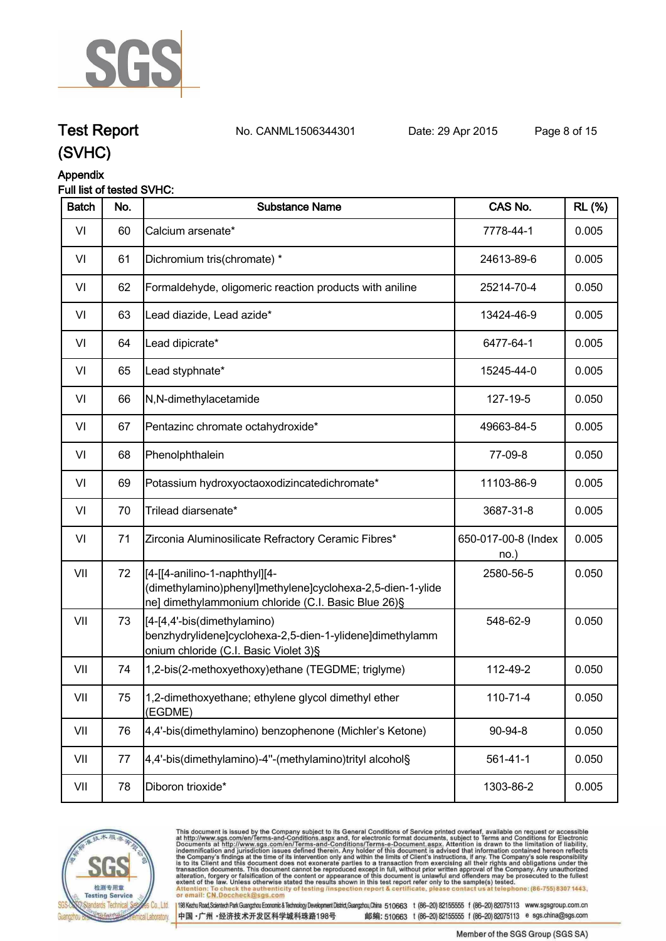

#### **Appendix**

#### **Full list of tested SVHC:**

| <b>Batch</b> | No. | <b>Substance Name</b>                                                                                                                              | CAS No.                     | <b>RL</b> (%) |
|--------------|-----|----------------------------------------------------------------------------------------------------------------------------------------------------|-----------------------------|---------------|
| VI           | 60  | Calcium arsenate*                                                                                                                                  | 7778-44-1                   | 0.005         |
| VI           | 61  | Dichromium tris(chromate) *                                                                                                                        | 24613-89-6                  | 0.005         |
| VI           | 62  | Formaldehyde, oligomeric reaction products with aniline                                                                                            | 25214-70-4                  | 0.050         |
| VI           | 63  | Lead diazide, Lead azide*                                                                                                                          | 13424-46-9                  | 0.005         |
| VI           | 64  | Lead dipicrate*                                                                                                                                    | 6477-64-1                   | 0.005         |
| VI           | 65  | Lead styphnate*                                                                                                                                    | 15245-44-0                  | 0.005         |
| VI           | 66  | N,N-dimethylacetamide                                                                                                                              | 127-19-5                    | 0.050         |
| VI           | 67  | Pentazinc chromate octahydroxide*                                                                                                                  | 49663-84-5                  | 0.005         |
| VI           | 68  | Phenolphthalein                                                                                                                                    | 77-09-8                     | 0.050         |
| VI           | 69  | Potassium hydroxyoctaoxodizincatedichromate*                                                                                                       | 11103-86-9                  | 0.005         |
| VI           | 70  | Trilead diarsenate*                                                                                                                                | 3687-31-8                   | 0.005         |
| VI           | 71  | Zirconia Aluminosilicate Refractory Ceramic Fibres*                                                                                                | 650-017-00-8 (Index<br>no.) | 0.005         |
| VII          | 72  | [4-[[4-anilino-1-naphthyl][4-<br>(dimethylamino)phenyl]methylene]cyclohexa-2,5-dien-1-ylide<br>ne] dimethylammonium chloride (C.I. Basic Blue 26)§ | 2580-56-5                   | 0.050         |
| VII          | 73  | [4-[4,4'-bis(dimethylamino)<br>benzhydrylidene]cyclohexa-2,5-dien-1-ylidene]dimethylamm<br>onium chloride (C.I. Basic Violet 3)§                   | 548-62-9                    | 0.050         |
| VII          | 74  | 1,2-bis(2-methoxyethoxy)ethane (TEGDME; triglyme)                                                                                                  | 112-49-2                    | 0.050         |
| VII          | 75  | 1,2-dimethoxyethane; ethylene glycol dimethyl ether<br>(EGDME)                                                                                     | 110-71-4                    | 0.050         |
| VII          | 76  | 4,4'-bis(dimethylamino) benzophenone (Michler's Ketone)                                                                                            | 90-94-8                     | 0.050         |
| VII          | 77  | 4,4'-bis(dimethylamino)-4"-(methylamino)trityl alcohol§                                                                                            | $561 - 41 - 1$              | 0.050         |
| VII          | 78  | Diboron trioxide*                                                                                                                                  | 1303-86-2                   | 0.005         |



This document is issued by the Company subject to its General Conditions of Service printed overleaf, available on request or accessible at http://www.sgs.com/en/Terms-and-Conditions.aspx and, for electronic format documen . at telephone: (86-755) 8307 1443, Attention: To check the authen<br>or email: CN.Doccheck@sgs.c eck the authenticity of testing /inspection report & certificate, ple contact us

198 Kezhu Road,Scientech Park Guangzhou Economic & Technology Development District,Guangzhou,China 510663 t (86-20) 82155555 f (86-20) 82075113 www.sgsgroup.com.cn 中国·广州·经济技术开发区科学城科珠路198号

**Test Report. No. CANML1506344301 Date: 29 Apr 2015. Page 8 of 15.**

Member of the SGS Group (SGS SA)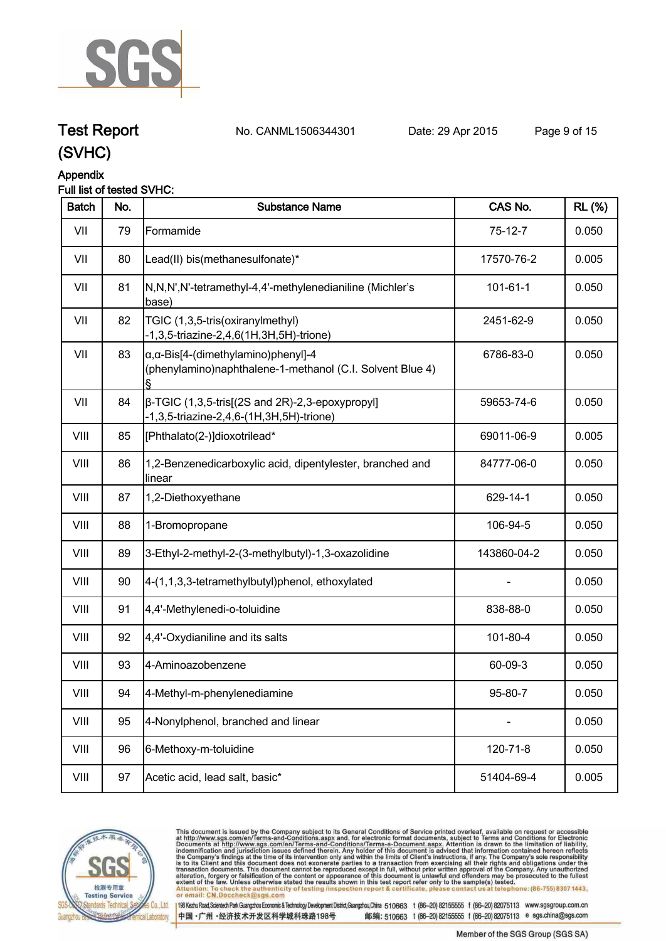

### **Test Report. No. CANML1506344301 Date: 29 Apr 2015. Page 9 of 15.**

#### **Appendix**

#### **Full list of tested SVHC:**

| <b>Batch</b> | No. | <b>Substance Name</b>                                                                                            | CAS No.        | <b>RL</b> (%) |
|--------------|-----|------------------------------------------------------------------------------------------------------------------|----------------|---------------|
| VII          | 79  | Formamide                                                                                                        | $75-12-7$      | 0.050         |
| VII          | 80  | Lead(II) bis(methanesulfonate)*                                                                                  | 17570-76-2     | 0.005         |
| VII          | 81  | N,N,N',N'-tetramethyl-4,4'-methylenedianiline (Michler's<br>base)                                                | $101 - 61 - 1$ | 0.050         |
| VII          | 82  | TGIC (1,3,5-tris(oxiranylmethyl)<br>-1,3,5-triazine-2,4,6(1H,3H,5H)-trione)                                      | 2451-62-9      | 0.050         |
| VII          | 83  | $\alpha$ , $\alpha$ -Bis[4-(dimethylamino)phenyl]-4<br>(phenylamino)naphthalene-1-methanol (C.I. Solvent Blue 4) | 6786-83-0      | 0.050         |
| VII          | 84  | $\beta$ -TGIC (1,3,5-tris[(2S and 2R)-2,3-epoxypropyl]<br>-1,3,5-triazine-2,4,6-(1H,3H,5H)-trione)               | 59653-74-6     | 0.050         |
| VIII         | 85  | [Phthalato(2-)]dioxotrilead*                                                                                     | 69011-06-9     | 0.005         |
| VIII         | 86  | 1,2-Benzenedicarboxylic acid, dipentylester, branched and<br>linear                                              | 84777-06-0     | 0.050         |
| VIII         | 87  | 1,2-Diethoxyethane                                                                                               | 629-14-1       | 0.050         |
| VIII         | 88  | 1-Bromopropane                                                                                                   | 106-94-5       | 0.050         |
| VIII         | 89  | 3-Ethyl-2-methyl-2-(3-methylbutyl)-1,3-oxazolidine                                                               | 143860-04-2    | 0.050         |
| VIII         | 90  | 4-(1,1,3,3-tetramethylbutyl)phenol, ethoxylated                                                                  |                | 0.050         |
| VIII         | 91  | 4,4'-Methylenedi-o-toluidine                                                                                     | 838-88-0       | 0.050         |
| VIII         | 92  | 4,4'-Oxydianiline and its salts                                                                                  | 101-80-4       | 0.050         |
| VIII         | 93  | 4-Aminoazobenzene                                                                                                | 60-09-3        | 0.050         |
| VIII         | 94  | 4-Methyl-m-phenylenediamine                                                                                      | 95-80-7        | 0.050         |
| VIII         | 95  | 4-Nonylphenol, branched and linear                                                                               |                | 0.050         |
| VIII         | 96  | 6-Methoxy-m-toluidine                                                                                            | 120-71-8       | 0.050         |
| VIII         | 97  | Acetic acid, lead salt, basic*                                                                                   | 51404-69-4     | 0.005         |



This document is issued by the Company subject to its General Conditions of Service printed overleaf, available on request or accessible at http://www.sgs.com/en/Terms-and-Conditions.aspx and, for electronic format documen . at telephone: (86-755) 8307 1443, Attention: To check the authent<br>or email: CN.Doccheck@sgs.c eck the authenticity of testing /inspection report & certificate, ple contact us

198 Kezhu Road, Scientech Park Guangzhou Economic & Technology Development District, Guangzhou, China 510663 t (86-20) 82155555 f (86-20) 82075113 www.sgsgroup.com.cn 中国·广州·经济技术开发区科学城科珠路198号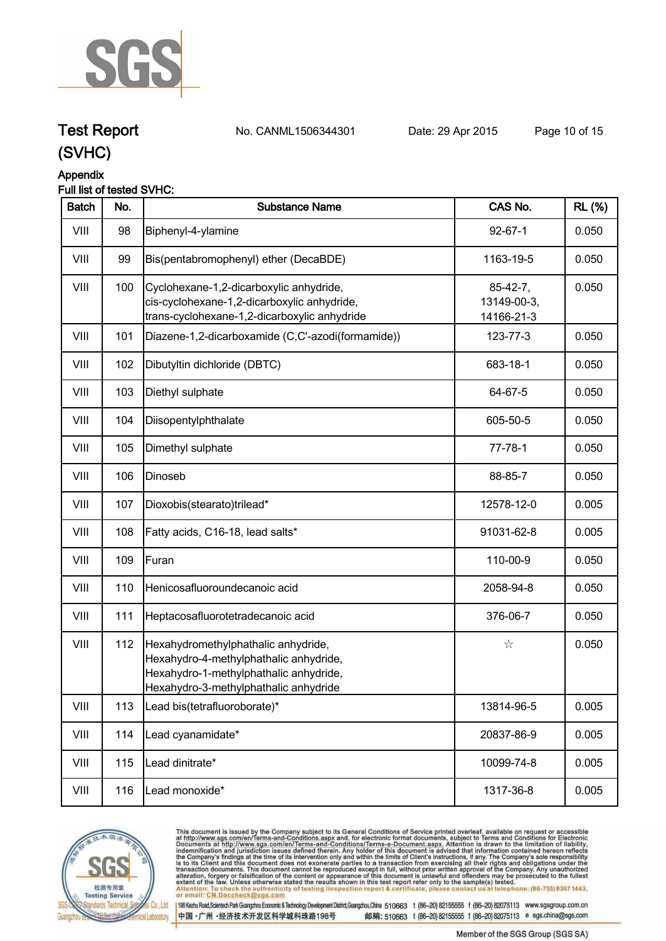

**Test Report. No. CANML1506344301 Date: 29 Apr 2015. Page 10 of 15.**

### **(SVHC)**

#### **Appendix**

#### **Full list of tested SVHC:**

| <b>Batch</b> | No. | <b>Substance Name</b>                                                                                                                                            | CAS No.                                 | <b>RL</b> (%) |
|--------------|-----|------------------------------------------------------------------------------------------------------------------------------------------------------------------|-----------------------------------------|---------------|
| VIII         | 98  | Biphenyl-4-ylamine                                                                                                                                               | $92 - 67 - 1$                           | 0.050         |
| VIII         | 99  | Bis(pentabromophenyl) ether (DecaBDE)                                                                                                                            | 1163-19-5                               | 0.050         |
| VIII         | 100 | Cyclohexane-1,2-dicarboxylic anhydride,<br>cis-cyclohexane-1,2-dicarboxylic anhydride,<br>trans-cyclohexane-1,2-dicarboxylic anhydride                           | $85-42-7,$<br>13149-00-3,<br>14166-21-3 | 0.050         |
| VIII         | 101 | Diazene-1,2-dicarboxamide (C,C'-azodi(formamide))                                                                                                                | 123-77-3                                | 0.050         |
| VIII         | 102 | Dibutyltin dichloride (DBTC)                                                                                                                                     | 683-18-1                                | 0.050         |
| VIII         | 103 | Diethyl sulphate                                                                                                                                                 | 64-67-5                                 | 0.050         |
| VIII         | 104 | Diisopentylphthalate                                                                                                                                             | 605-50-5                                | 0.050         |
| VIII         | 105 | Dimethyl sulphate                                                                                                                                                | $77 - 78 - 1$                           | 0.050         |
| VIII         | 106 | Dinoseb                                                                                                                                                          | 88-85-7                                 | 0.050         |
| VIII         | 107 | Dioxobis(stearato)trilead*                                                                                                                                       | 12578-12-0                              | 0.005         |
| VIII         | 108 | Fatty acids, C16-18, lead salts*                                                                                                                                 | 91031-62-8                              | 0.005         |
| VIII         | 109 | Furan                                                                                                                                                            | 110-00-9                                | 0.050         |
| VIII         | 110 | Henicosafluoroundecanoic acid                                                                                                                                    | 2058-94-8                               | 0.050         |
| VIII         | 111 | Heptacosafluorotetradecanoic acid                                                                                                                                | 376-06-7                                | 0.050         |
| VIII         | 112 | Hexahydromethylphathalic anhydride,<br>Hexahydro-4-methylphathalic anhydride,<br>Hexahydro-1-methylphathalic anhydride,<br>Hexahydro-3-methylphathalic anhydride | ☆                                       | 0.050         |
| VIII         | 113 | Lead bis(tetrafluoroborate)*                                                                                                                                     | 13814-96-5                              | 0.005         |
| VIII         | 114 | Lead cyanamidate*                                                                                                                                                | 20837-86-9                              | 0.005         |
| VIII         | 115 | Lead dinitrate*                                                                                                                                                  | 10099-74-8                              | 0.005         |
| VIII         | 116 | Lead monoxide*                                                                                                                                                   | 1317-36-8                               | 0.005         |
|              |     |                                                                                                                                                                  |                                         |               |



This document is issued by the Company subject to its General Conditions of Service printed overleaf, available on request or accessible at http://www.sgs.com/en/Terms-and-Conditions.aspx and, for electronic format documen . at telephone: (86-755) 8307 1443, Attention: To check the authent<br>or email: CN.Doccheck@sgs.c eck the authenticity of testing /inspection report & certificate, ple contact us

中国·广州·经济技术开发区科学城科珠路198号

198 Kezhu Road, Scientech Park Guangzhou Economic & Technology Development District, Guangzhou, China 510663 t (86-20) 82155555 f (86-20) 82075113 www.sgsgroup.com.cn 邮编: 510663 t (86-20) 82155555 f (86-20) 82075113 e sgs.china@sgs.com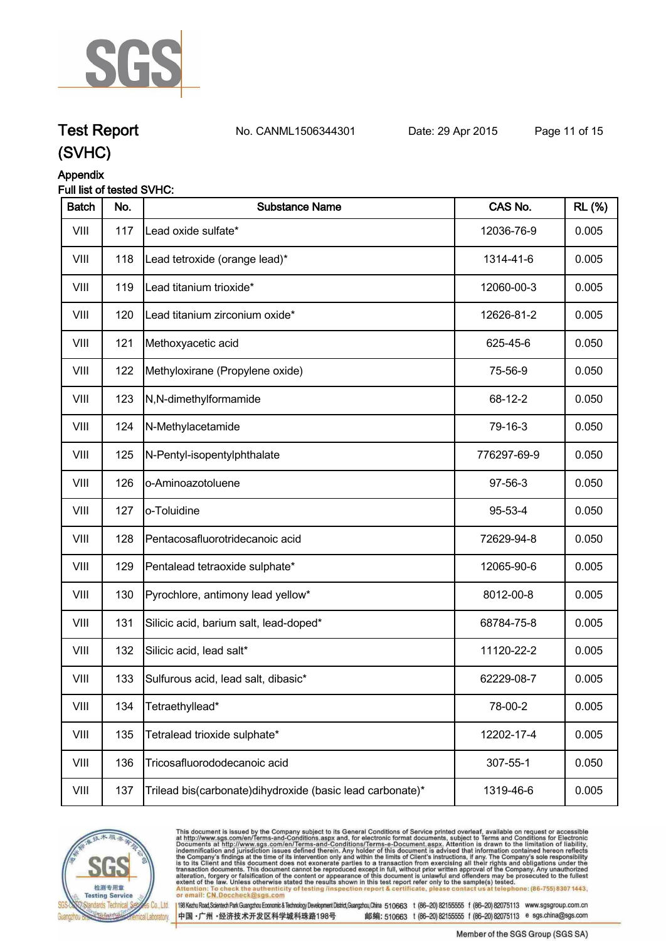

**Test Report. No. CANML1506344301 Date: 29 Apr 2015. Page 11 of 15.**

### **(SVHC)**

#### **Appendix**

#### **Full list of tested SVHC:**

| <b>Batch</b> | No. | <b>Substance Name</b>                                     | CAS No.     | <b>RL (%)</b> |
|--------------|-----|-----------------------------------------------------------|-------------|---------------|
| VIII         | 117 | Lead oxide sulfate*                                       | 12036-76-9  | 0.005         |
| VIII         | 118 | Lead tetroxide (orange lead)*                             | 1314-41-6   | 0.005         |
| VIII         | 119 | Lead titanium trioxide*                                   | 12060-00-3  | 0.005         |
| VIII         | 120 | Lead titanium zirconium oxide*                            | 12626-81-2  | 0.005         |
| VIII         | 121 | Methoxyacetic acid                                        | 625-45-6    | 0.050         |
| VIII         | 122 | Methyloxirane (Propylene oxide)                           | 75-56-9     | 0.050         |
| VIII         | 123 | N,N-dimethylformamide                                     | 68-12-2     | 0.050         |
| VIII         | 124 | N-Methylacetamide                                         | 79-16-3     | 0.050         |
| VIII         | 125 | N-Pentyl-isopentylphthalate                               | 776297-69-9 | 0.050         |
| VIII         | 126 | o-Aminoazotoluene                                         | 97-56-3     | 0.050         |
| VIII         | 127 | o-Toluidine                                               | 95-53-4     | 0.050         |
| VIII         | 128 | Pentacosafluorotridecanoic acid                           | 72629-94-8  | 0.050         |
| VIII         | 129 | Pentalead tetraoxide sulphate*                            | 12065-90-6  | 0.005         |
| VIII         | 130 | Pyrochlore, antimony lead yellow*                         | 8012-00-8   | 0.005         |
| VIII         | 131 | Silicic acid, barium salt, lead-doped*                    | 68784-75-8  | 0.005         |
| VIII         | 132 | Silicic acid, lead salt*                                  | 11120-22-2  | 0.005         |
| VIII         | 133 | Sulfurous acid, lead salt, dibasic*                       | 62229-08-7  | 0.005         |
| VIII         | 134 | Tetraethyllead*                                           | 78-00-2     | 0.005         |
| VIII         | 135 | Tetralead trioxide sulphate*                              | 12202-17-4  | 0.005         |
| VIII         | 136 | Tricosafluorododecanoic acid                              | 307-55-1    | 0.050         |
| VIII         | 137 | Trilead bis(carbonate)dihydroxide (basic lead carbonate)* | 1319-46-6   | 0.005         |



This document is issued by the Company subject to its General Conditions of Service printed overleaf, available on request or accessible at http://www.sgs.com/en/Terms-and-Conditions.aspx and, for electronic format documen (s) tested.<br>at telephone: (86-755) 8307 1443, Attention: To check the authent<br>or email: CN.Doccheck@sgs.c eck the authenticity of testing /inspection report & certificate, ple contact us

198 Kezhu Road, Scientech Park Guangzhou Economic & Technology Development District, Guangzhou, China 510663 t (86-20) 82155555 f (86-20) 82075113 www.sgsgroup.com.cn 中国·广州·经济技术开发区科学城科珠路198号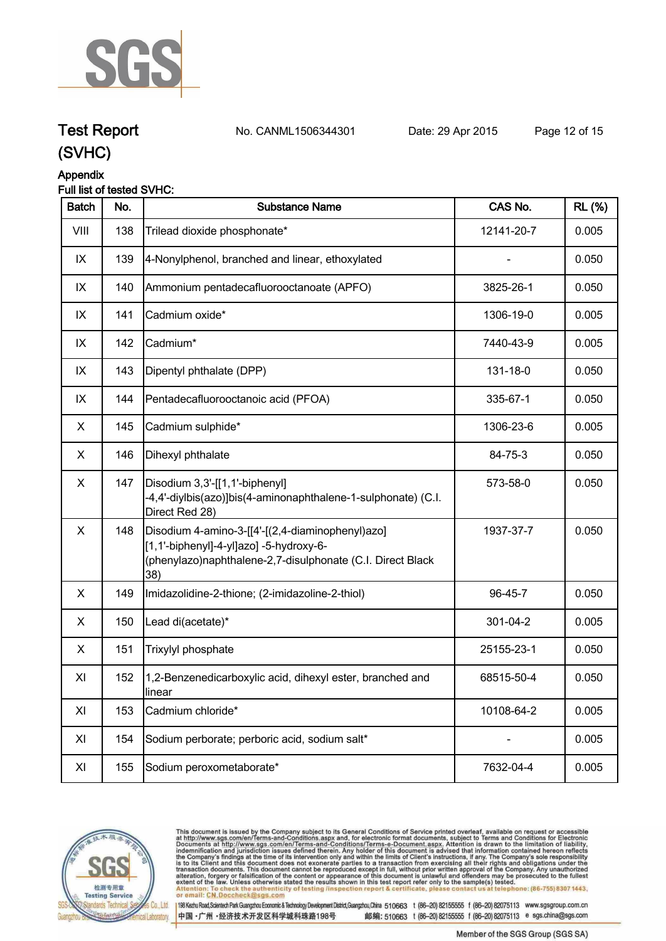

## **Test Report. No. CANML1506344301 Date: 29 Apr 2015. Page 12 of 15.**

### **(SVHC) Appendix**

#### **Full list of tested SVHC:**

| <b>Batch</b> | No. | <b>Substance Name</b>                                                                                                                                            | CAS No.    | <b>RL</b> (%) |
|--------------|-----|------------------------------------------------------------------------------------------------------------------------------------------------------------------|------------|---------------|
| VIII         | 138 | Trilead dioxide phosphonate*                                                                                                                                     | 12141-20-7 | 0.005         |
| IX           | 139 | 4-Nonylphenol, branched and linear, ethoxylated                                                                                                                  |            | 0.050         |
| IX           | 140 | Ammonium pentadecafluorooctanoate (APFO)                                                                                                                         | 3825-26-1  | 0.050         |
| IX           | 141 | Cadmium oxide*                                                                                                                                                   | 1306-19-0  | 0.005         |
| IX           | 142 | Cadmium*                                                                                                                                                         | 7440-43-9  | 0.005         |
| IX           | 143 | Dipentyl phthalate (DPP)                                                                                                                                         | 131-18-0   | 0.050         |
| IX           | 144 | Pentadecafluorooctanoic acid (PFOA)                                                                                                                              | 335-67-1   | 0.050         |
| X            | 145 | Cadmium sulphide*                                                                                                                                                | 1306-23-6  | 0.005         |
| X            | 146 | Dihexyl phthalate                                                                                                                                                | 84-75-3    | 0.050         |
| X            | 147 | Disodium 3,3'-[[1,1'-biphenyl]<br>-4,4'-diylbis(azo)]bis(4-aminonaphthalene-1-sulphonate) (C.I.<br>Direct Red 28)                                                | 573-58-0   | 0.050         |
| X            | 148 | Disodium 4-amino-3-[[4'-[(2,4-diaminophenyl)azo]<br>[1,1'-biphenyl]-4-yl]azo] -5-hydroxy-6-<br>(phenylazo)naphthalene-2,7-disulphonate (C.I. Direct Black<br>38) | 1937-37-7  | 0.050         |
| X            | 149 | Imidazolidine-2-thione; (2-imidazoline-2-thiol)                                                                                                                  | 96-45-7    | 0.050         |
| X            | 150 | Lead di(acetate)*                                                                                                                                                | 301-04-2   | 0.005         |
| X            | 151 | Trixylyl phosphate                                                                                                                                               | 25155-23-1 | 0.050         |
| XI           | 152 | 1,2-Benzenedicarboxylic acid, dihexyl ester, branched and<br>linear                                                                                              | 68515-50-4 | 0.050         |
| XI           | 153 | Cadmium chloride*                                                                                                                                                | 10108-64-2 | 0.005         |
| XI           | 154 | Sodium perborate; perboric acid, sodium salt*                                                                                                                    |            | 0.005         |
| XI           | 155 | Sodium peroxometaborate*                                                                                                                                         | 7632-04-4  | 0.005         |



This document is issued by the Company subject to its General Conditions of Service printed overleaf, available on request or accessible at http://www.sgs.com/en/Terms-and-Conditions.aspx and, for electronic format documen . at telephone: (86-755) 8307 1443, Attention: To check the authent<br>or email: CN.Doccheck@sgs.c eck the authenticity of testing /inspection report & certificate, ple contact us

中国·广州·经济技术开发区科学城科珠路198号

198 Kezhu Road, Scientech Park Guangzhou Economic & Technology Development District, Guangzhou, China 510663 t (86-20) 82155555 f (86-20) 82075113 www.sgsgroup.com.cn 邮编: 510663 t (86-20) 82155555 f (86-20) 82075113 e sgs.china@sgs.com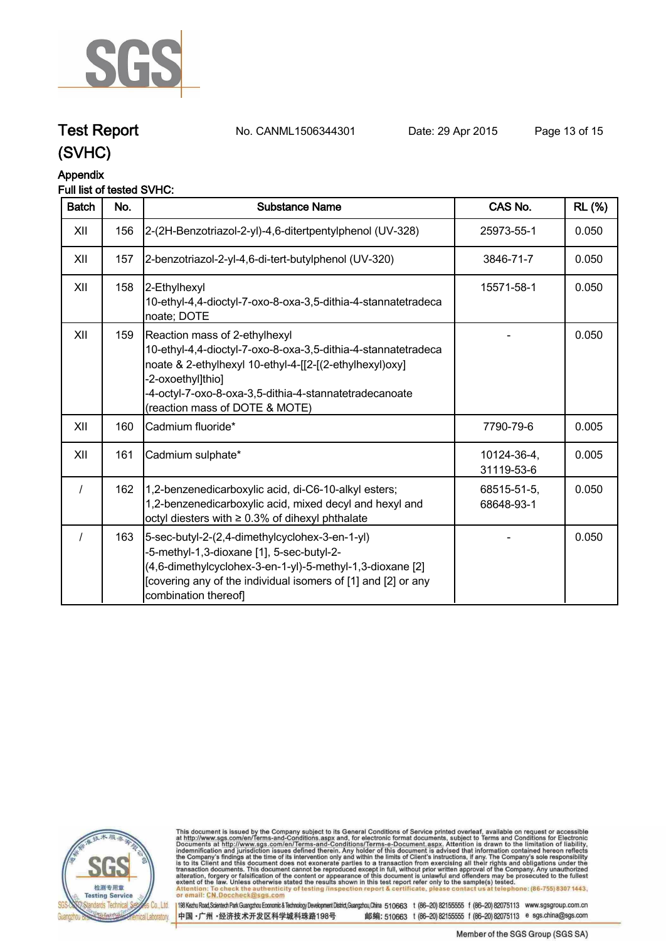

#### **Appendix**

#### **Full list of tested SVHC:**

| <b>Batch</b> | No. | Substance Name                                                                                                                                                                                                                                                            | CAS No.                   | <b>RL</b> (%) |
|--------------|-----|---------------------------------------------------------------------------------------------------------------------------------------------------------------------------------------------------------------------------------------------------------------------------|---------------------------|---------------|
| XII          | 156 | 2-(2H-Benzotriazol-2-yl)-4,6-ditertpentylphenol (UV-328)                                                                                                                                                                                                                  | 25973-55-1                | 0.050         |
| XII          | 157 | 2-benzotriazol-2-yl-4,6-di-tert-butylphenol (UV-320)                                                                                                                                                                                                                      | 3846-71-7                 | 0.050         |
| XII          | 158 | 2-Ethylhexyl<br>10-ethyl-4,4-dioctyl-7-oxo-8-oxa-3,5-dithia-4-stannatetradeca<br>noate; DOTE                                                                                                                                                                              | 15571-58-1                | 0.050         |
| XII          | 159 | Reaction mass of 2-ethylhexyl<br>10-ethyl-4,4-dioctyl-7-oxo-8-oxa-3,5-dithia-4-stannatetradeca<br>noate & 2-ethylhexyl 10-ethyl-4-[[2-[(2-ethylhexyl)oxy]<br>2-oxoethyl]thio]<br>-4-octyl-7-oxo-8-oxa-3,5-dithia-4-stannatetradecanoate<br>(reaction mass of DOTE & MOTE) |                           | 0.050         |
| XII          | 160 | Cadmium fluoride*                                                                                                                                                                                                                                                         | 7790-79-6                 | 0.005         |
| XII          | 161 | Cadmium sulphate*                                                                                                                                                                                                                                                         | 10124-36-4,<br>31119-53-6 | 0.005         |
|              | 162 | 1,2-benzenedicarboxylic acid, di-C6-10-alkyl esters;<br>1,2-benzenedicarboxylic acid, mixed decyl and hexyl and<br>octyl diesters with $\geq 0.3\%$ of dihexyl phthalate                                                                                                  | 68515-51-5,<br>68648-93-1 | 0.050         |
|              | 163 | 5-sec-butyl-2-(2,4-dimethylcyclohex-3-en-1-yl)<br>-5-methyl-1,3-dioxane [1], 5-sec-butyl-2-<br>(4,6-dimethylcyclohex-3-en-1-yl)-5-methyl-1,3-dioxane [2]<br>[covering any of the individual isomers of [1] and [2] or any<br>combination thereof]                         |                           | 0.050         |



This document is issued by the Company subject to its General Conditions of Service printed overleaf, available on request or accessible at http://www.sgs.com/en/Terms-and-Conditions.aspx and, for electronic format documen . at telephone: (86-755) 8307 1443, Attention: To check the authent<br>or email: CN.Doccheck@sgs.c eck the authenticity of testing /inspection report & certificate, ple contact us

198 Kezhu Road, Scientech Park Guangzhou Economic & Technology Development District, Guangzhou, China 510663 t (86-20) 82155555 f (86-20) 82075113 www.sgsgroup.com.cn 中国·广州·经济技术开发区科学城科珠路198号

**Test Report. No. CANML1506344301 Date: 29 Apr 2015. Page 13 of 15.**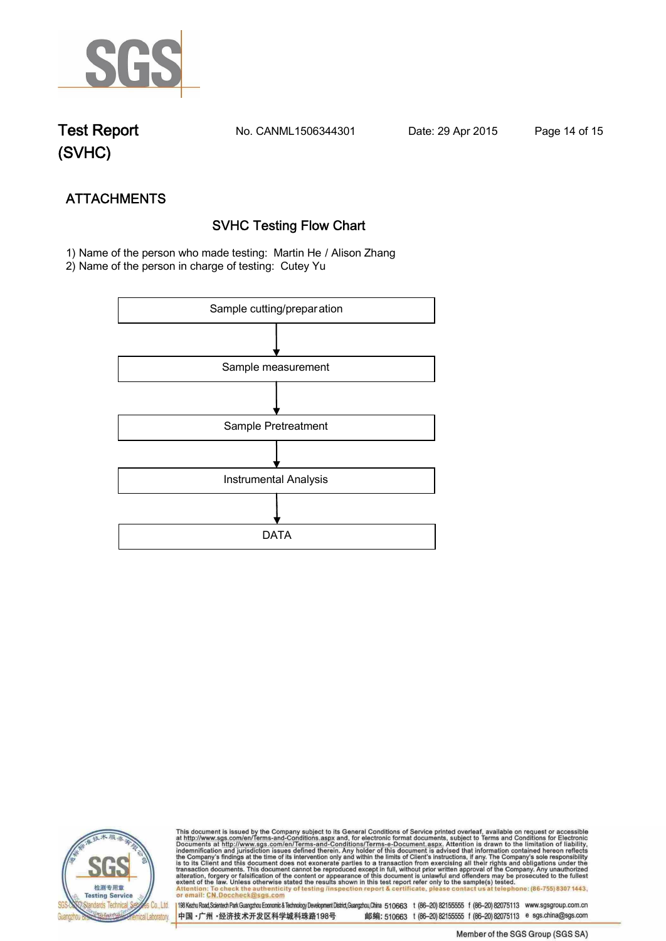

**Test Report. No. CANML1506344301 Date: 29 Apr 2015. Page 14 of 15.**

## **(SVHC)**

## **ATTACHMENTS SVHC Testing Flow Chart**

 **1) Name of the person who made testing: Martin He / Alison Zhang**

**2) Name of the person in charge of testing: Cutey Yu**





This document is issued by the Company subject to its General Conditions of Service printed overleaf, available on request or accessible at http://www.sgs.com/en/Terms-and-Conditions.aspx and, for electronic format documen <u>lephone: (86-755) 8307 1443.</u> Attenti ack the authenticity of testing /inspection report & certificate, pl contact us or email: CN.Doccheck@

198 Kezhu Road,Scientech Park Guangzhou Economic & Technology Development District,Guangzhou,China 510663 t (86-20) 82155555 f (86-20) 82075113 www.sgsgroup.com.cn 中国·广州·经济技术开发区科学城科珠路198号